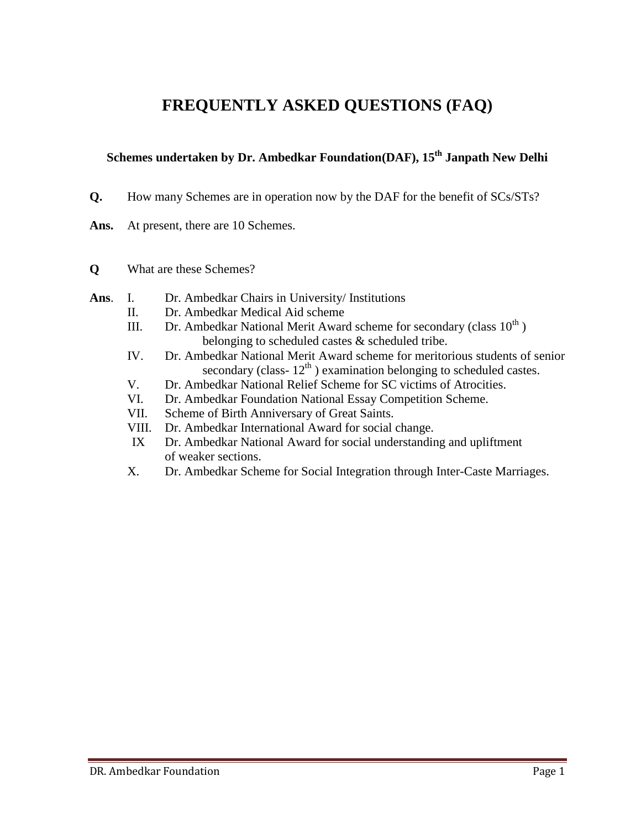# **FREQUENTLY ASKED QUESTIONS (FAQ)**

## **Schemes undertaken by Dr. Ambedkar Foundation(DAF), 15th Janpath New Delhi**

- **Q.** How many Schemes are in operation now by the DAF for the benefit of SCs/STs?
- Ans. At present, there are 10 Schemes.
- **Q** What are these Schemes?
- **Ans**. I. Dr. Ambedkar Chairs in University/ Institutions
	- II. Dr. Ambedkar Medical Aid scheme
	- III. Dr. Ambedkar National Merit Award scheme for secondary (class  $10^{th}$ ) belonging to scheduled castes & scheduled tribe.
	- IV. Dr. Ambedkar National Merit Award scheme for meritorious students of senior secondary (class- $12<sup>th</sup>$ ) examination belonging to scheduled castes.
	- V. Dr. Ambedkar National Relief Scheme for SC victims of Atrocities.
	- VI. Dr. Ambedkar Foundation National Essay Competition Scheme.
	- VII. Scheme of Birth Anniversary of Great Saints.
	- VIII. Dr. Ambedkar International Award for social change.
	- IX Dr. Ambedkar National Award for social understanding and upliftment of weaker sections.
	- X. Dr. Ambedkar Scheme for Social Integration through Inter-Caste Marriages.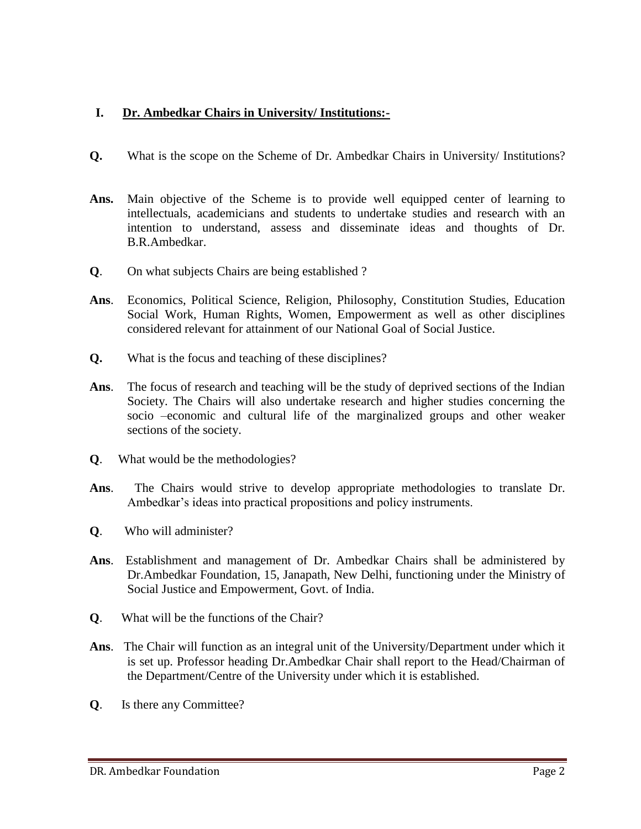## **I. Dr. Ambedkar Chairs in University/ Institutions:-**

- **Q.** What is the scope on the Scheme of Dr. Ambedkar Chairs in University/ Institutions?
- **Ans.** Main objective of the Scheme is to provide well equipped center of learning to intellectuals, academicians and students to undertake studies and research with an intention to understand, assess and disseminate ideas and thoughts of Dr. B.R.Ambedkar.
- **Q**. On what subjects Chairs are being established ?
- **Ans**. Economics, Political Science, Religion, Philosophy, Constitution Studies, Education Social Work, Human Rights, Women, Empowerment as well as other disciplines considered relevant for attainment of our National Goal of Social Justice.
- **Q.** What is the focus and teaching of these disciplines?
- **Ans**. The focus of research and teaching will be the study of deprived sections of the Indian Society. The Chairs will also undertake research and higher studies concerning the socio –economic and cultural life of the marginalized groups and other weaker sections of the society.
- **Q**. What would be the methodologies?
- **Ans**. The Chairs would strive to develop appropriate methodologies to translate Dr. Ambedkar's ideas into practical propositions and policy instruments.
- **Q**. Who will administer?
- **Ans**. Establishment and management of Dr. Ambedkar Chairs shall be administered by Dr.Ambedkar Foundation, 15, Janapath, New Delhi, functioning under the Ministry of Social Justice and Empowerment, Govt. of India.
- **Q**. What will be the functions of the Chair?
- **Ans**. The Chair will function as an integral unit of the University/Department under which it is set up. Professor heading Dr.Ambedkar Chair shall report to the Head/Chairman of the Department/Centre of the University under which it is established.
- **Q**. Is there any Committee?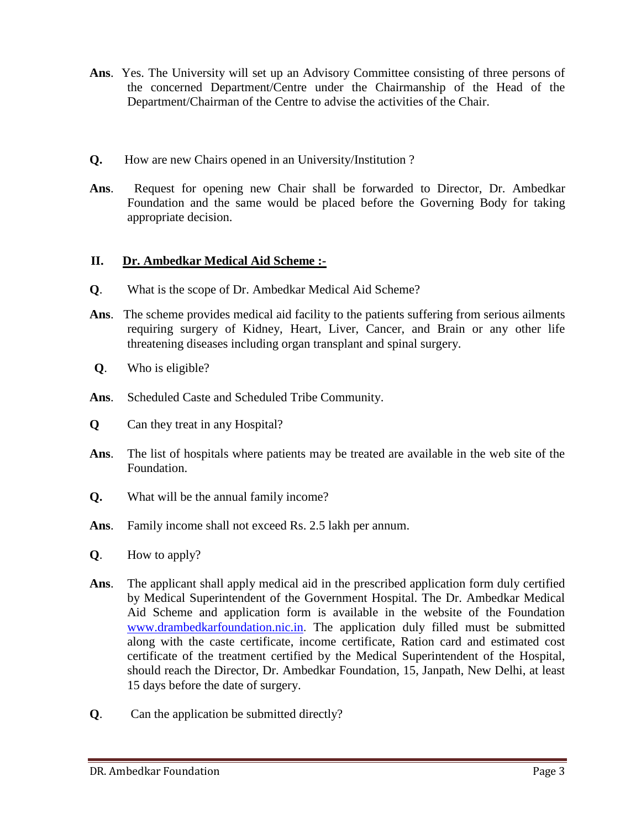- **Ans**. Yes. The University will set up an Advisory Committee consisting of three persons of the concerned Department/Centre under the Chairmanship of the Head of the Department/Chairman of the Centre to advise the activities of the Chair.
- **Q.** How are new Chairs opened in an University/Institution ?
- **Ans**. Request for opening new Chair shall be forwarded to Director, Dr. Ambedkar Foundation and the same would be placed before the Governing Body for taking appropriate decision.

## **II. Dr. Ambedkar Medical Aid Scheme :-**

- **Q**. What is the scope of Dr. Ambedkar Medical Aid Scheme?
- **Ans**. The scheme provides medical aid facility to the patients suffering from serious ailments requiring surgery of Kidney, Heart, Liver, Cancer, and Brain or any other life threatening diseases including organ transplant and spinal surgery.
- **Q**. Who is eligible?
- **Ans**. Scheduled Caste and Scheduled Tribe Community.
- **Q** Can they treat in any Hospital?
- **Ans**. The list of hospitals where patients may be treated are available in the web site of the Foundation.
- **Q.** What will be the annual family income?
- **Ans**. Family income shall not exceed Rs. 2.5 lakh per annum.
- **Q**. How to apply?
- **Ans**. The applicant shall apply medical aid in the prescribed application form duly certified by Medical Superintendent of the Government Hospital. The Dr. Ambedkar Medical Aid Scheme and application form is available in the website of the Foundation [www.drambedkarfoundation.nic.in](http://www.drambedkarfoundation.nic.in/). The application duly filled must be submitted along with the caste certificate, income certificate, Ration card and estimated cost certificate of the treatment certified by the Medical Superintendent of the Hospital, should reach the Director, Dr. Ambedkar Foundation, 15, Janpath, New Delhi, at least 15 days before the date of surgery.
- **Q**. Can the application be submitted directly?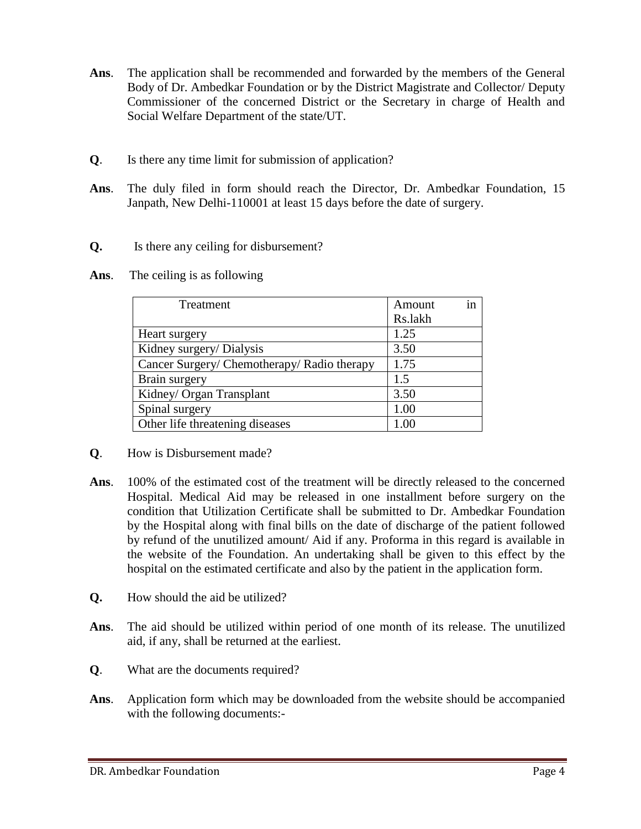- **Ans**. The application shall be recommended and forwarded by the members of the General Body of Dr. Ambedkar Foundation or by the District Magistrate and Collector/ Deputy Commissioner of the concerned District or the Secretary in charge of Health and Social Welfare Department of the state/UT.
- **Q**. Is there any time limit for submission of application?
- **Ans**. The duly filed in form should reach the Director, Dr. Ambedkar Foundation, 15 Janpath, New Delhi-110001 at least 15 days before the date of surgery.
- **Q.** Is there any ceiling for disbursement?
- **Ans**. The ceiling is as following

| Treatment                                   | Amount<br>Rs.lakh | in |
|---------------------------------------------|-------------------|----|
|                                             |                   |    |
| Heart surgery                               | 1.25              |    |
| Kidney surgery/ Dialysis                    | 3.50              |    |
| Cancer Surgery/ Chemotherapy/ Radio therapy | 1.75              |    |
| Brain surgery                               | 1.5               |    |
| Kidney/ Organ Transplant                    | 3.50              |    |
| Spinal surgery                              | 1.00              |    |
| Other life threatening diseases             | 1 OC              |    |

- **Q**. How is Disbursement made?
- **Ans**. 100% of the estimated cost of the treatment will be directly released to the concerned Hospital. Medical Aid may be released in one installment before surgery on the condition that Utilization Certificate shall be submitted to Dr. Ambedkar Foundation by the Hospital along with final bills on the date of discharge of the patient followed by refund of the unutilized amount/ Aid if any. Proforma in this regard is available in the website of the Foundation. An undertaking shall be given to this effect by the hospital on the estimated certificate and also by the patient in the application form.
- **Q.** How should the aid be utilized?
- **Ans**. The aid should be utilized within period of one month of its release. The unutilized aid, if any, shall be returned at the earliest.
- **Q**. What are the documents required?
- **Ans**. Application form which may be downloaded from the website should be accompanied with the following documents:-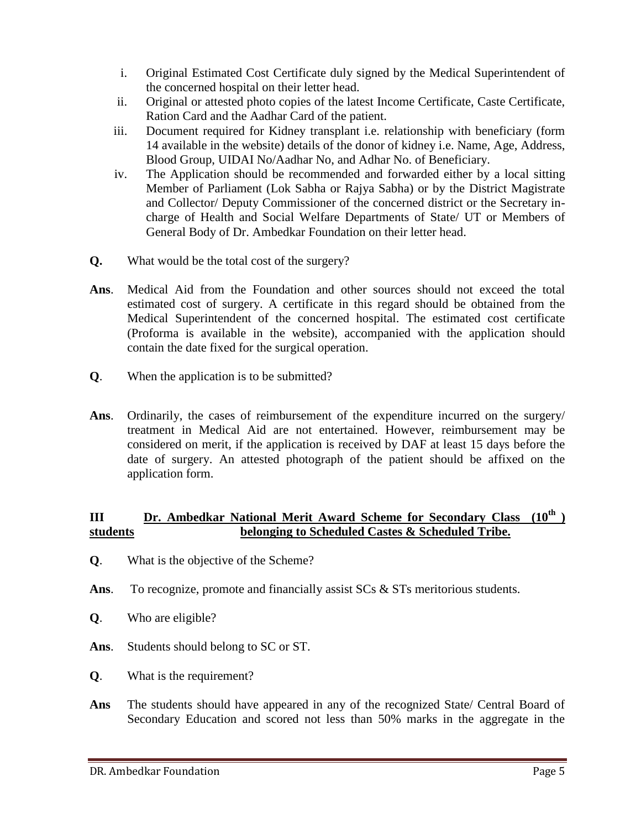- i. Original Estimated Cost Certificate duly signed by the Medical Superintendent of the concerned hospital on their letter head.
- ii. Original or attested photo copies of the latest Income Certificate, Caste Certificate, Ration Card and the Aadhar Card of the patient.
- iii. Document required for Kidney transplant i.e. relationship with beneficiary (form 14 available in the website) details of the donor of kidney i.e. Name, Age, Address, Blood Group, UIDAI No/Aadhar No, and Adhar No. of Beneficiary.
- iv. The Application should be recommended and forwarded either by a local sitting Member of Parliament (Lok Sabha or Rajya Sabha) or by the District Magistrate and Collector/ Deputy Commissioner of the concerned district or the Secretary incharge of Health and Social Welfare Departments of State/ UT or Members of General Body of Dr. Ambedkar Foundation on their letter head.
- **Q.** What would be the total cost of the surgery?
- **Ans**. Medical Aid from the Foundation and other sources should not exceed the total estimated cost of surgery. A certificate in this regard should be obtained from the Medical Superintendent of the concerned hospital. The estimated cost certificate (Proforma is available in the website), accompanied with the application should contain the date fixed for the surgical operation.
- **Q**. When the application is to be submitted?
- **Ans**. Ordinarily, the cases of reimbursement of the expenditure incurred on the surgery/ treatment in Medical Aid are not entertained. However, reimbursement may be considered on merit, if the application is received by DAF at least 15 days before the date of surgery. An attested photograph of the patient should be affixed on the application form.

#### **III Dr. Ambedkar National Merit Award Scheme for Secondary Class (10th ) students belonging to Scheduled Castes & Scheduled Tribe.**

- **Q**. What is the objective of the Scheme?
- Ans. To recognize, promote and financially assist SCs & STs meritorious students.
- **Q**. Who are eligible?
- **Ans**. Students should belong to SC or ST.
- **Q**. What is the requirement?
- **Ans** The students should have appeared in any of the recognized State/ Central Board of Secondary Education and scored not less than 50% marks in the aggregate in the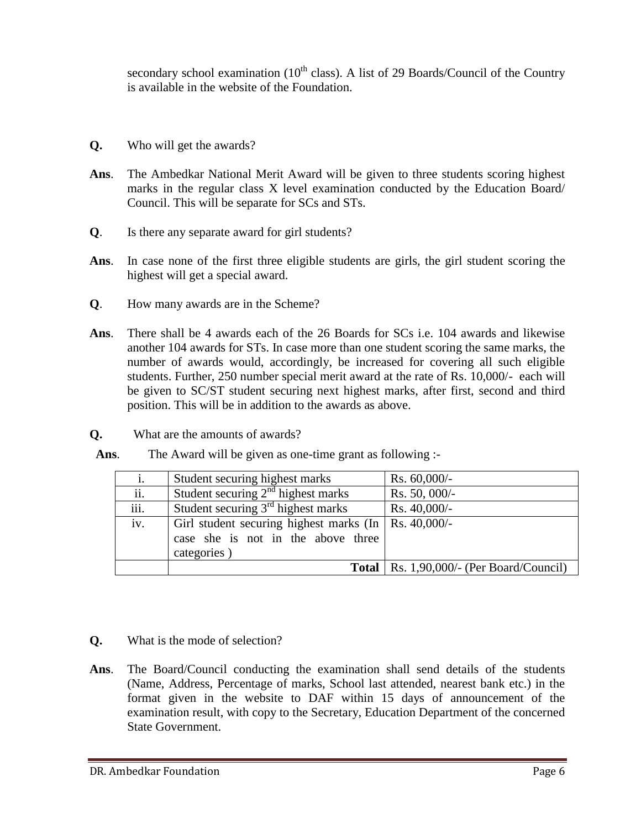secondary school examination  $(10<sup>th</sup>$  class). A list of 29 Boards/Council of the Country is available in the website of the Foundation.

- **Q.** Who will get the awards?
- **Ans**. The Ambedkar National Merit Award will be given to three students scoring highest marks in the regular class X level examination conducted by the Education Board/ Council. This will be separate for SCs and STs.
- **Q**. Is there any separate award for girl students?
- **Ans**. In case none of the first three eligible students are girls, the girl student scoring the highest will get a special award.
- **Q**. How many awards are in the Scheme?
- **Ans**. There shall be 4 awards each of the 26 Boards for SCs i.e. 104 awards and likewise another 104 awards for STs. In case more than one student scoring the same marks, the number of awards would, accordingly, be increased for covering all such eligible students. Further, 250 number special merit award at the rate of Rs. 10,000/- each will be given to SC/ST student securing next highest marks, after first, second and third position. This will be in addition to the awards as above.
- **Q.** What are the amounts of awards?

| Ans. |  |  | The Award will be given as one-time grant as following :- |  |
|------|--|--|-----------------------------------------------------------|--|
|------|--|--|-----------------------------------------------------------|--|

| 1.   | Student securing highest marks                                                                              | Rs. $60,000/-$                                       |
|------|-------------------------------------------------------------------------------------------------------------|------------------------------------------------------|
| ii.  | Student securing $2nd$ highest marks                                                                        | Rs. 50, 000/-                                        |
| iii. | Student securing $3rd$ highest marks                                                                        | Rs. 40,000/-                                         |
| iv.  | Girl student securing highest marks (In   Rs. 40,000/-<br>case she is not in the above three<br>categories) |                                                      |
|      |                                                                                                             | <b>Total</b>   Rs. $1,90,000/$ - (Per Board/Council) |

- **Q.** What is the mode of selection?
- **Ans**. The Board/Council conducting the examination shall send details of the students (Name, Address, Percentage of marks, School last attended, nearest bank etc.) in the format given in the website to DAF within 15 days of announcement of the examination result, with copy to the Secretary, Education Department of the concerned State Government.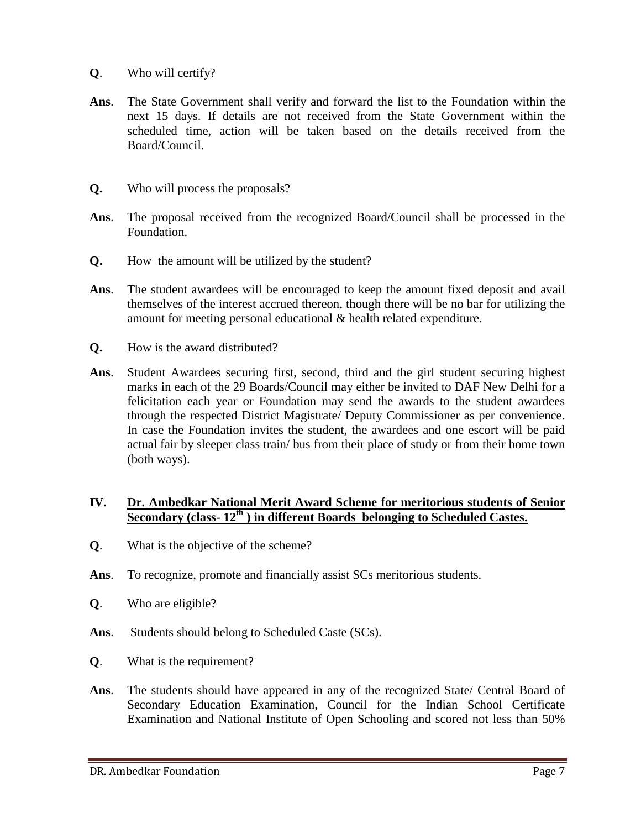- **Q**. Who will certify?
- **Ans**. The State Government shall verify and forward the list to the Foundation within the next 15 days. If details are not received from the State Government within the scheduled time, action will be taken based on the details received from the Board/Council.
- **Q.** Who will process the proposals?
- **Ans**. The proposal received from the recognized Board/Council shall be processed in the Foundation.
- **Q.** How the amount will be utilized by the student?
- **Ans**. The student awardees will be encouraged to keep the amount fixed deposit and avail themselves of the interest accrued thereon, though there will be no bar for utilizing the amount for meeting personal educational & health related expenditure.
- **Q.** How is the award distributed?
- **Ans**. Student Awardees securing first, second, third and the girl student securing highest marks in each of the 29 Boards/Council may either be invited to DAF New Delhi for a felicitation each year or Foundation may send the awards to the student awardees through the respected District Magistrate/ Deputy Commissioner as per convenience. In case the Foundation invites the student, the awardees and one escort will be paid actual fair by sleeper class train/ bus from their place of study or from their home town (both ways).

#### **IV. Dr. Ambedkar National Merit Award Scheme for meritorious students of Senior Secondary (class- 12th ) in different Boards belonging to Scheduled Castes.**

- **Q**. What is the objective of the scheme?
- **Ans**. To recognize, promote and financially assist SCs meritorious students.
- **Q**. Who are eligible?
- Ans. Students should belong to Scheduled Caste (SCs).
- **Q**. What is the requirement?
- **Ans**. The students should have appeared in any of the recognized State/ Central Board of Secondary Education Examination, Council for the Indian School Certificate Examination and National Institute of Open Schooling and scored not less than 50%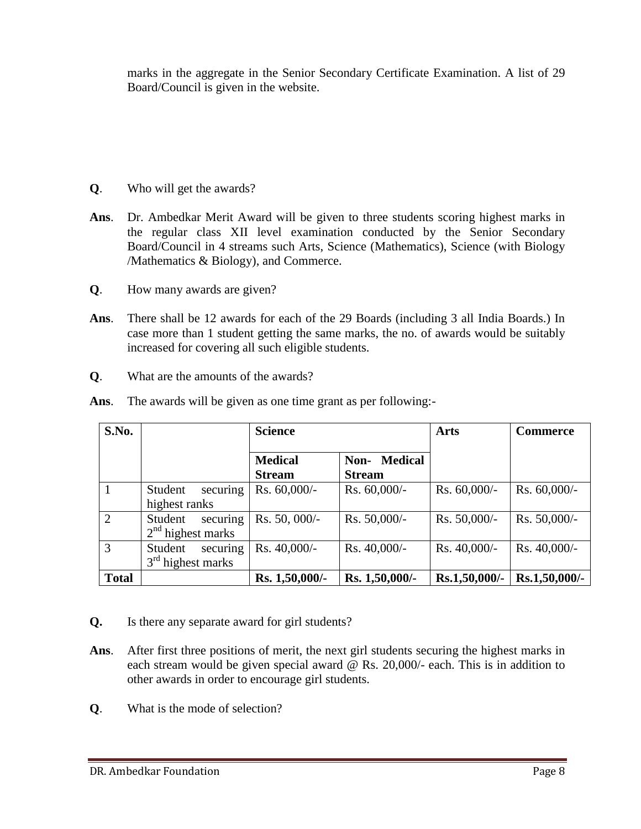marks in the aggregate in the Senior Secondary Certificate Examination. A list of 29 Board/Council is given in the website.

- **Q**. Who will get the awards?
- **Ans**. Dr. Ambedkar Merit Award will be given to three students scoring highest marks in the regular class XII level examination conducted by the Senior Secondary Board/Council in 4 streams such Arts, Science (Mathematics), Science (with Biology /Mathematics & Biology), and Commerce.
- **Q**. How many awards are given?
- **Ans**. There shall be 12 awards for each of the 29 Boards (including 3 all India Boards.) In case more than 1 student getting the same marks, the no. of awards would be suitably increased for covering all such eligible students.
- **Q**. What are the amounts of the awards?

| S.No.          |                                            | <b>Science</b>                  |                                      | <b>Arts</b>    | <b>Commerce</b> |
|----------------|--------------------------------------------|---------------------------------|--------------------------------------|----------------|-----------------|
|                |                                            | <b>Medical</b><br><b>Stream</b> | <b>Non-</b> Medical<br><b>Stream</b> |                |                 |
|                | securing<br>Student<br>highest ranks       | $Rs. 60,000/$ -                 | Rs. 60,000/-                         | Rs. $60,000/-$ | Rs. $60,000/-$  |
| 2              | securing<br>Student<br>$2nd$ highest marks | Rs. 50, 000/-                   | Rs. 50,000/-                         | Rs. 50,000/-   | $Rs. 50,000/-$  |
| $\overline{3}$ | securing<br>Student<br>$3rd$ highest marks | Rs. 40,000/-                    | Rs. 40,000/-                         | Rs. $40,000/-$ | Rs. $40,000/-$  |
| <b>Total</b>   |                                            | Rs. 1,50,000/-                  | Rs. 1,50,000/-                       | Rs.1,50,000/-  | Rs.1,50,000/-   |

**Ans**. The awards will be given as one time grant as per following:-

- **Q.** Is there any separate award for girl students?
- **Ans**. After first three positions of merit, the next girl students securing the highest marks in each stream would be given special award @ Rs. 20,000/- each. This is in addition to other awards in order to encourage girl students.
- **Q**. What is the mode of selection?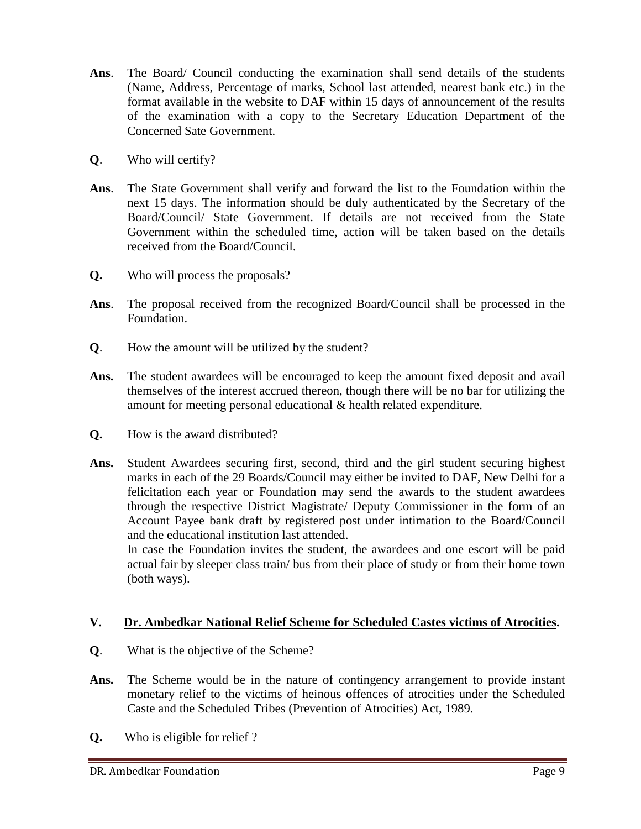- **Ans**. The Board/ Council conducting the examination shall send details of the students (Name, Address, Percentage of marks, School last attended, nearest bank etc.) in the format available in the website to DAF within 15 days of announcement of the results of the examination with a copy to the Secretary Education Department of the Concerned Sate Government.
- **Q**. Who will certify?
- **Ans**. The State Government shall verify and forward the list to the Foundation within the next 15 days. The information should be duly authenticated by the Secretary of the Board/Council/ State Government. If details are not received from the State Government within the scheduled time, action will be taken based on the details received from the Board/Council.
- **Q.** Who will process the proposals?
- **Ans**. The proposal received from the recognized Board/Council shall be processed in the Foundation.
- **Q**. How the amount will be utilized by the student?
- **Ans.** The student awardees will be encouraged to keep the amount fixed deposit and avail themselves of the interest accrued thereon, though there will be no bar for utilizing the amount for meeting personal educational & health related expenditure.
- **Q.** How is the award distributed?
- **Ans.** Student Awardees securing first, second, third and the girl student securing highest marks in each of the 29 Boards/Council may either be invited to DAF, New Delhi for a felicitation each year or Foundation may send the awards to the student awardees through the respective District Magistrate/ Deputy Commissioner in the form of an Account Payee bank draft by registered post under intimation to the Board/Council and the educational institution last attended.

 In case the Foundation invites the student, the awardees and one escort will be paid actual fair by sleeper class train/ bus from their place of study or from their home town (both ways).

#### **V. Dr. Ambedkar National Relief Scheme for Scheduled Castes victims of Atrocities.**

- **Q**. What is the objective of the Scheme?
- **Ans.** The Scheme would be in the nature of contingency arrangement to provide instant monetary relief to the victims of heinous offences of atrocities under the Scheduled Caste and the Scheduled Tribes (Prevention of Atrocities) Act, 1989.
- **Q.** Who is eligible for relief ?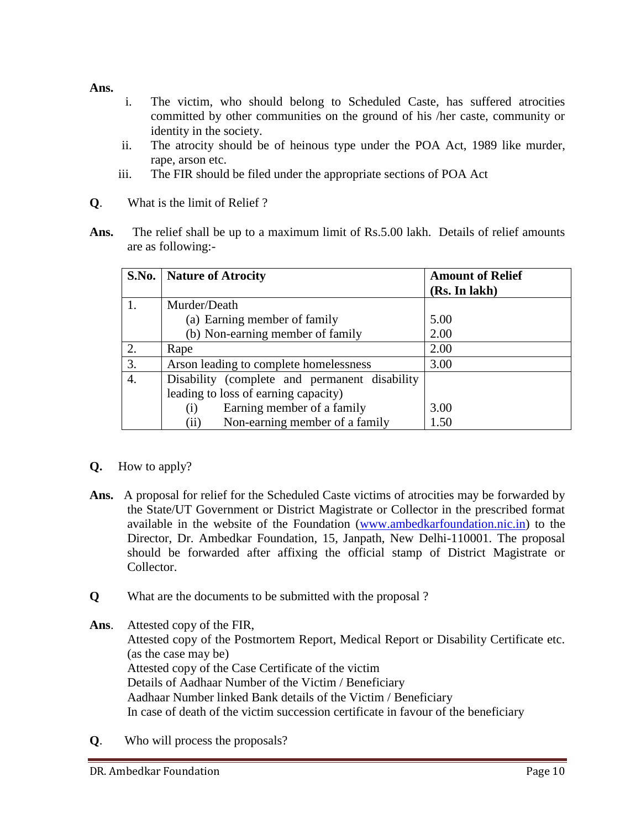#### **Ans.**

- i. The victim, who should belong to Scheduled Caste, has suffered atrocities committed by other communities on the ground of his /her caste, community or identity in the society.
- ii. The atrocity should be of heinous type under the POA Act, 1989 like murder, rape, arson etc.
- iii. The FIR should be filed under the appropriate sections of POA Act
- **Q**. What is the limit of Relief ?
- **Ans.** The relief shall be up to a maximum limit of Rs.5.00 lakh. Details of relief amounts are as following:-

|    | S.No.   Nature of Atrocity                    | <b>Amount of Relief</b> |
|----|-----------------------------------------------|-------------------------|
|    |                                               | (Rs. In lakh)           |
|    | Murder/Death                                  |                         |
|    | (a) Earning member of family                  | 5.00                    |
|    | (b) Non-earning member of family              | 2.00                    |
| 2. | Rape                                          | 2.00                    |
| 3. | Arson leading to complete homelessness        | 3.00                    |
| 4. | Disability (complete and permanent disability |                         |
|    | leading to loss of earning capacity)          |                         |
|    | Earning member of a family<br>$\rm(i)$        | 3.00                    |
|    | Non-earning member of a family<br>(ii)        | 1.50                    |

#### **Q.** How to apply?

- Ans. A proposal for relief for the Scheduled Caste victims of atrocities may be forwarded by the State/UT Government or District Magistrate or Collector in the prescribed format available in the website of the Foundation [\(www.ambedkarfoundation.nic.in\)](http://www.ambedkarfoundation.nic.in/) to the Director, Dr. Ambedkar Foundation, 15, Janpath, New Delhi-110001. The proposal should be forwarded after affixing the official stamp of District Magistrate or Collector.
- **Q** What are the documents to be submitted with the proposal ?
- **Ans**. Attested copy of the FIR,

Attested copy of the Postmortem Report, Medical Report or Disability Certificate etc. (as the case may be) Attested copy of the Case Certificate of the victim Details of Aadhaar Number of the Victim / Beneficiary Aadhaar Number linked Bank details of the Victim / Beneficiary In case of death of the victim succession certificate in favour of the beneficiary

**Q**. Who will process the proposals?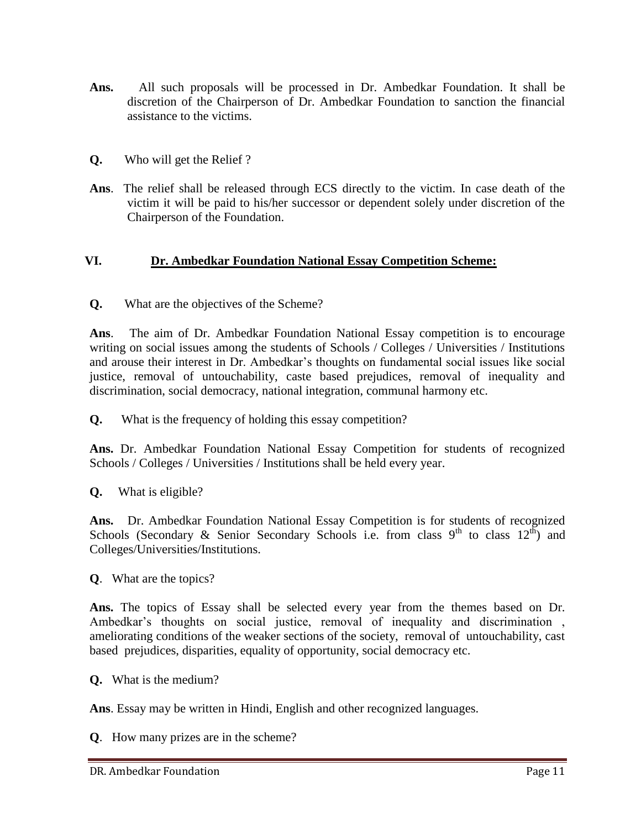- **Ans.** All such proposals will be processed in Dr. Ambedkar Foundation. It shall be discretion of the Chairperson of Dr. Ambedkar Foundation to sanction the financial assistance to the victims.
- **Q.** Who will get the Relief ?
- **Ans**. The relief shall be released through ECS directly to the victim. In case death of the victim it will be paid to his/her successor or dependent solely under discretion of the Chairperson of the Foundation.

#### **VI. Dr. Ambedkar Foundation National Essay Competition Scheme:**

**Q.** What are the objectives of the Scheme?

**Ans**. The aim of Dr. Ambedkar Foundation National Essay competition is to encourage writing on social issues among the students of Schools / Colleges / Universities / Institutions and arouse their interest in Dr. Ambedkar's thoughts on fundamental social issues like social justice, removal of untouchability, caste based prejudices, removal of inequality and discrimination, social democracy, national integration, communal harmony etc.

**Q.** What is the frequency of holding this essay competition?

**Ans.** Dr. Ambedkar Foundation National Essay Competition for students of recognized Schools / Colleges / Universities / Institutions shall be held every year.

**Q.** What is eligible?

Ans. Dr. Ambedkar Foundation National Essay Competition is for students of recognized Schools (Secondary & Senior Secondary Schools i.e. from class  $9<sup>th</sup>$  to class  $12<sup>th</sup>$ ) and Colleges/Universities/Institutions.

**Q**. What are the topics?

**Ans.** The topics of Essay shall be selected every year from the themes based on Dr. Ambedkar's thoughts on social justice, removal of inequality and discrimination , ameliorating conditions of the weaker sections of the society, removal of untouchability, cast based prejudices, disparities, equality of opportunity, social democracy etc.

**Q.** What is the medium?

**Ans**. Essay may be written in Hindi, English and other recognized languages.

**Q**. How many prizes are in the scheme?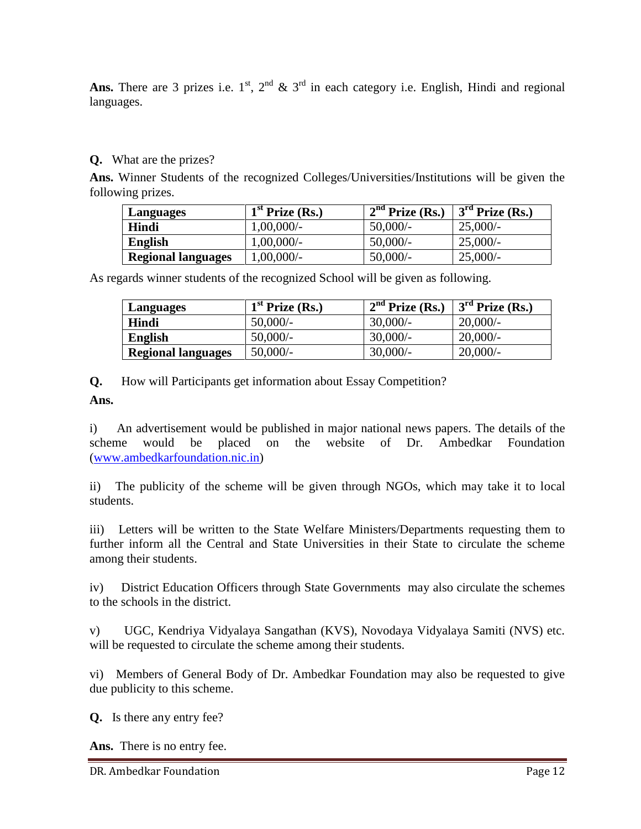Ans. There are 3 prizes i.e.  $1^{st}$ ,  $2^{nd}$  &  $3^{rd}$  in each category i.e. English, Hindi and regional languages.

#### **Q.** What are the prizes?

**Ans.** Winner Students of the recognized Colleges/Universities/Institutions will be given the following prizes.

| Languages                 | $1st$ Prize (Rs.) | $2nd$ Prize (Rs.) | $3rd$ Prize (Rs.) |
|---------------------------|-------------------|-------------------|-------------------|
| Hindi                     | $1,00,000/-$      | 50,000/           | 25,000/           |
| English                   | 1,00,000/-        | $50,000/-$        | 25,000/           |
| <b>Regional languages</b> | $1,00,000/$ -     | $50,000/$ -       | $25,000/-$        |

As regards winner students of the recognized School will be given as following.

| Languages                 | $1st$ Prize (Rs.) | $2nd$ Prize (Rs.) | $3rd$ Prize (Rs.) |
|---------------------------|-------------------|-------------------|-------------------|
| Hindi                     | $50,000/-$        | $30,000/$ -       | $20,000/$ -       |
| <b>English</b>            | $50,000/-$        | $30,000/$ -       | 20,000/           |
| <b>Regional languages</b> | $50,000/-$        | $30,000/$ -       | $20,000/$ -       |

**Q.** How will Participants get information about Essay Competition?

**Ans.**

i) An advertisement would be published in major national news papers. The details of the scheme would be placed on the website of Dr. Ambedkar Foundation [\(www.ambedkarfoundation.nic.in\)](http://www.ambedkarfoundation.nic.in/)

ii) The publicity of the scheme will be given through NGOs, which may take it to local students.

iii) Letters will be written to the State Welfare Ministers/Departments requesting them to further inform all the Central and State Universities in their State to circulate the scheme among their students.

iv) District Education Officers through State Governments may also circulate the schemes to the schools in the district.

v) UGC, Kendriya Vidyalaya Sangathan (KVS), Novodaya Vidyalaya Samiti (NVS) etc. will be requested to circulate the scheme among their students.

vi) Members of General Body of Dr. Ambedkar Foundation may also be requested to give due publicity to this scheme.

**Q.** Is there any entry fee?

**Ans.** There is no entry fee.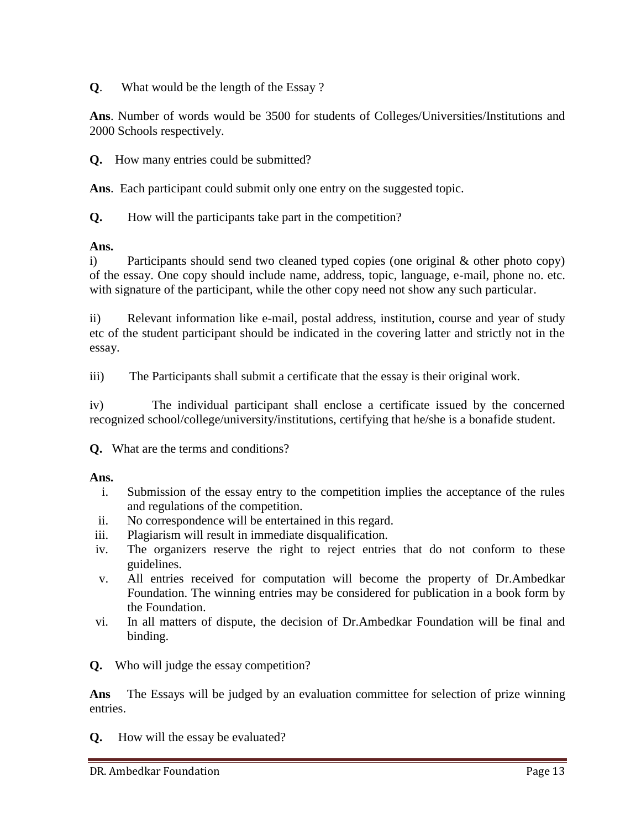**Q**. What would be the length of the Essay ?

**Ans**. Number of words would be 3500 for students of Colleges/Universities/Institutions and 2000 Schools respectively.

**Q.** How many entries could be submitted?

**Ans**. Each participant could submit only one entry on the suggested topic.

**Q.** How will the participants take part in the competition?

#### **Ans.**

i) Participants should send two cleaned typed copies (one original & other photo copy) of the essay. One copy should include name, address, topic, language, e-mail, phone no. etc. with signature of the participant, while the other copy need not show any such particular.

ii) Relevant information like e-mail, postal address, institution, course and year of study etc of the student participant should be indicated in the covering latter and strictly not in the essay.

iii) The Participants shall submit a certificate that the essay is their original work.

iv) The individual participant shall enclose a certificate issued by the concerned recognized school/college/university/institutions, certifying that he/she is a bonafide student.

**Q.** What are the terms and conditions?

#### **Ans.**

- i. Submission of the essay entry to the competition implies the acceptance of the rules and regulations of the competition.
- ii. No correspondence will be entertained in this regard.
- iii. Plagiarism will result in immediate disqualification.
- iv. The organizers reserve the right to reject entries that do not conform to these guidelines.
- v. All entries received for computation will become the property of Dr.Ambedkar Foundation. The winning entries may be considered for publication in a book form by the Foundation.
- vi. In all matters of dispute, the decision of Dr.Ambedkar Foundation will be final and binding.
- **Q.** Who will judge the essay competition?

**Ans** The Essays will be judged by an evaluation committee for selection of prize winning entries.

**Q.** How will the essay be evaluated?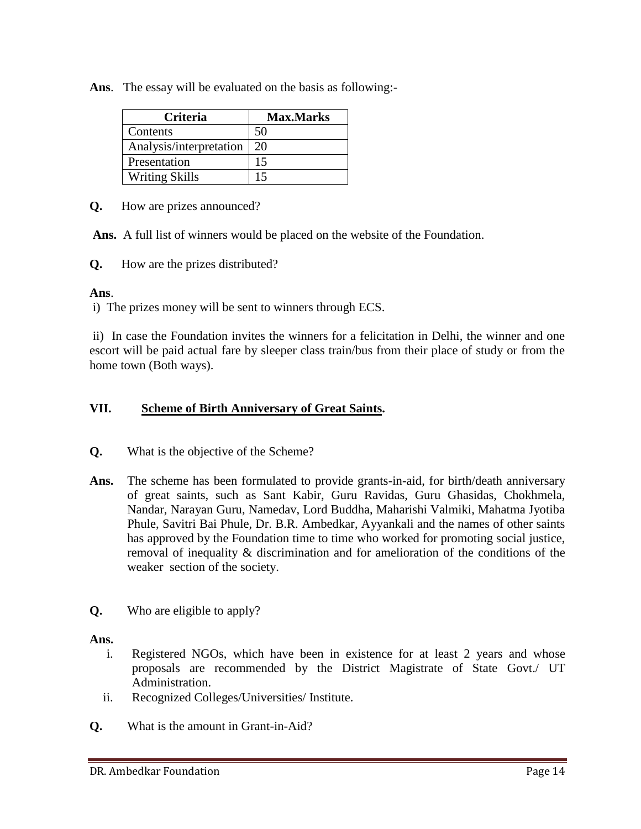**Ans**. The essay will be evaluated on the basis as following:-

| <b>Criteria</b>         | <b>Max.Marks</b> |
|-------------------------|------------------|
| Contents                | 50               |
| Analysis/interpretation | 20               |
| Presentation            | 15               |
| <b>Writing Skills</b>   | 15               |

**Q.** How are prizes announced?

**Ans.** A full list of winners would be placed on the website of the Foundation.

**Q.** How are the prizes distributed?

## **Ans**.

i) The prizes money will be sent to winners through ECS.

ii) In case the Foundation invites the winners for a felicitation in Delhi, the winner and one escort will be paid actual fare by sleeper class train/bus from their place of study or from the home town (Both ways).

## **VII. Scheme of Birth Anniversary of Great Saints.**

- **Q.** What is the objective of the Scheme?
- **Ans.** The scheme has been formulated to provide grants-in-aid, for birth/death anniversary of great saints, such as Sant Kabir, Guru Ravidas, Guru Ghasidas, Chokhmela, Nandar, Narayan Guru, Namedav, Lord Buddha, Maharishi Valmiki, Mahatma Jyotiba Phule, Savitri Bai Phule, Dr. B.R. Ambedkar, Ayyankali and the names of other saints has approved by the Foundation time to time who worked for promoting social justice, removal of inequality & discrimination and for amelioration of the conditions of the weaker section of the society.
- **Q.** Who are eligible to apply?

#### **Ans.**

- i. Registered NGOs, which have been in existence for at least 2 years and whose proposals are recommended by the District Magistrate of State Govt./ UT Administration.
- ii. Recognized Colleges/Universities/ Institute.
- **Q.** What is the amount in Grant-in-Aid?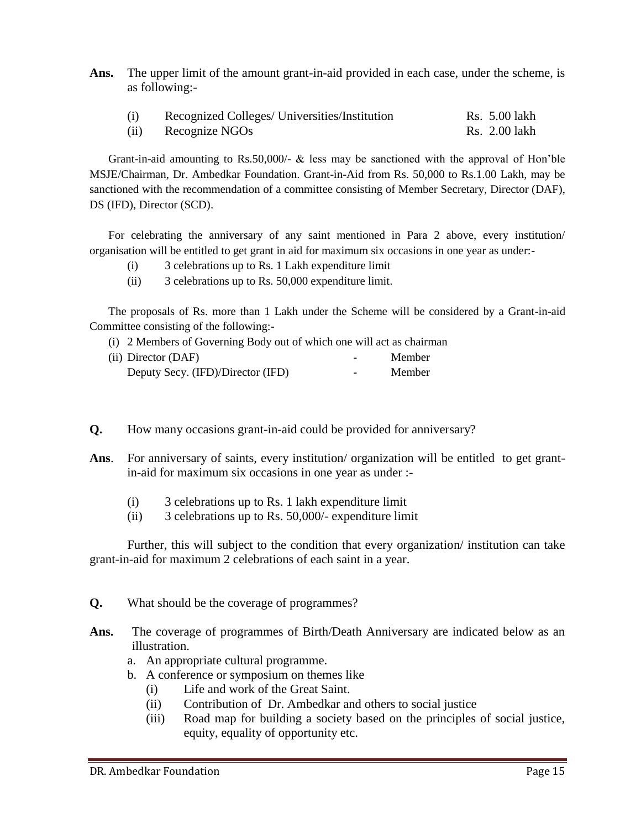**Ans.** The upper limit of the amount grant-in-aid provided in each case, under the scheme, is as following:-

| (i)  | Recognized Colleges/ Universities/Institution | Rs. 5.00 lakh |
|------|-----------------------------------------------|---------------|
| (ii) | Recognize NGOs                                | Rs. 2.00 lakh |

Grant-in-aid amounting to Rs.50,000/- & less may be sanctioned with the approval of Hon'ble MSJE/Chairman, Dr. Ambedkar Foundation. Grant-in-Aid from Rs. 50,000 to Rs.1.00 Lakh, may be sanctioned with the recommendation of a committee consisting of Member Secretary, Director (DAF), DS (IFD), Director (SCD).

For celebrating the anniversary of any saint mentioned in Para 2 above, every institution/ organisation will be entitled to get grant in aid for maximum six occasions in one year as under:-

- (i) 3 celebrations up to Rs. 1 Lakh expenditure limit
- (ii) 3 celebrations up to Rs. 50,000 expenditure limit.

The proposals of Rs. more than 1 Lakh under the Scheme will be considered by a Grant-in-aid Committee consisting of the following:-

(i) 2 Members of Governing Body out of which one will act as chairman

| (ii) Director (DAF)               | -                        | Member |
|-----------------------------------|--------------------------|--------|
| Deputy Secy. (IFD)/Director (IFD) | $\overline{\phantom{0}}$ | Member |

- **Q.** How many occasions grant-in-aid could be provided for anniversary?
- **Ans**. For anniversary of saints, every institution/ organization will be entitled to get grantin-aid for maximum six occasions in one year as under :-
	- (i) 3 celebrations up to Rs. 1 lakh expenditure limit
	- (ii) 3 celebrations up to Rs. 50,000/- expenditure limit

Further, this will subject to the condition that every organization/ institution can take grant-in-aid for maximum 2 celebrations of each saint in a year.

**Q.** What should be the coverage of programmes?

- Ans. The coverage of programmes of Birth/Death Anniversary are indicated below as an illustration.
	- a. An appropriate cultural programme.
	- b. A conference or symposium on themes like
		- (i) Life and work of the Great Saint.
		- (ii) Contribution of Dr. Ambedkar and others to social justice
		- (iii) Road map for building a society based on the principles of social justice, equity, equality of opportunity etc.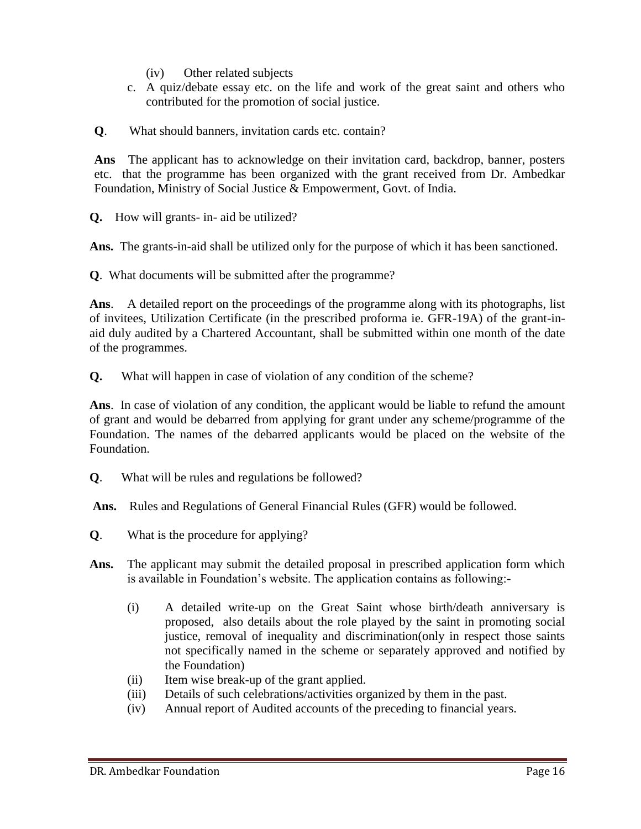- (iv) Other related subjects
- c. A quiz/debate essay etc. on the life and work of the great saint and others who contributed for the promotion of social justice.
- **Q**. What should banners, invitation cards etc. contain?

**Ans** The applicant has to acknowledge on their invitation card, backdrop, banner, posters etc. that the programme has been organized with the grant received from Dr. Ambedkar Foundation, Ministry of Social Justice & Empowerment, Govt. of India.

**Q.** How will grants- in- aid be utilized?

**Ans.** The grants-in-aid shall be utilized only for the purpose of which it has been sanctioned.

**Q**. What documents will be submitted after the programme?

**Ans**. A detailed report on the proceedings of the programme along with its photographs, list of invitees, Utilization Certificate (in the prescribed proforma ie. GFR-19A) of the grant-inaid duly audited by a Chartered Accountant, shall be submitted within one month of the date of the programmes.

**Q.** What will happen in case of violation of any condition of the scheme?

**Ans**. In case of violation of any condition, the applicant would be liable to refund the amount of grant and would be debarred from applying for grant under any scheme/programme of the Foundation. The names of the debarred applicants would be placed on the website of the Foundation.

- **Q**. What will be rules and regulations be followed?
- **Ans.** Rules and Regulations of General Financial Rules (GFR) would be followed.
- **Q**. What is the procedure for applying?
- **Ans.** The applicant may submit the detailed proposal in prescribed application form which is available in Foundation's website. The application contains as following:-
	- (i) A detailed write-up on the Great Saint whose birth/death anniversary is proposed, also details about the role played by the saint in promoting social justice, removal of inequality and discrimination(only in respect those saints not specifically named in the scheme or separately approved and notified by the Foundation)
	- (ii) Item wise break-up of the grant applied.
	- (iii) Details of such celebrations/activities organized by them in the past.
	- (iv) Annual report of Audited accounts of the preceding to financial years.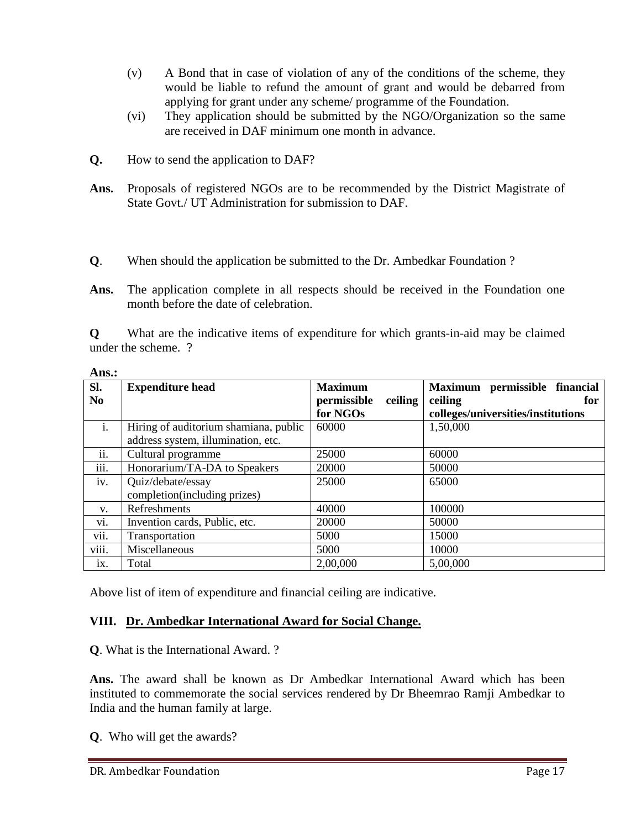- (v) A Bond that in case of violation of any of the conditions of the scheme, they would be liable to refund the amount of grant and would be debarred from applying for grant under any scheme/ programme of the Foundation.
- (vi) They application should be submitted by the NGO/Organization so the same are received in DAF minimum one month in advance.
- **Q.** How to send the application to DAF?
- **Ans.** Proposals of registered NGOs are to be recommended by the District Magistrate of State Govt./ UT Administration for submission to DAF.
- **Q**. When should the application be submitted to the Dr. Ambedkar Foundation ?

**Q** What are the indicative items of expenditure for which grants-in-aid may be claimed under the scheme. ?

| Ans.:             |                                       |                        |                                    |
|-------------------|---------------------------------------|------------------------|------------------------------------|
| Sl.               | <b>Expenditure head</b>               | <b>Maximum</b>         | Maximum permissible financial      |
| No                |                                       | permissible<br>ceiling | ceiling<br>for                     |
|                   |                                       | for NGOs               | colleges/universities/institutions |
| $\mathbf{i}$ .    | Hiring of auditorium shamiana, public | 60000                  | 1,50,000                           |
|                   | address system, illumination, etc.    |                        |                                    |
| $\cdot$ .<br>11.  | Cultural programme                    | 25000                  | 60000                              |
| iii.              | Honorarium/TA-DA to Speakers          | 20000                  | 50000                              |
| iv.               | Quiz/debate/essay                     | 25000                  | 65000                              |
|                   | completion(including prizes)          |                        |                                    |
| V.                | Refreshments                          | 40000                  | 100000                             |
| vi.               | Invention cards, Public, etc.         | 20000                  | 50000                              |
| $\cdot$ .<br>V11. | Transportation                        | 5000                   | 15000                              |
| viii.             | Miscellaneous                         | 5000                   | 10000                              |
| ix.               | Total                                 | 2,00,000               | 5,00,000                           |

Above list of item of expenditure and financial ceiling are indicative.

## **VIII. Dr. Ambedkar International Award for Social Change.**

**Q**. What is the International Award. ?

**Ans.** The award shall be known as Dr Ambedkar International Award which has been instituted to commemorate the social services rendered by Dr Bheemrao Ramji Ambedkar to India and the human family at large.

**Q**. Who will get the awards?

**Ans.:**

Ans. The application complete in all respects should be received in the Foundation one month before the date of celebration.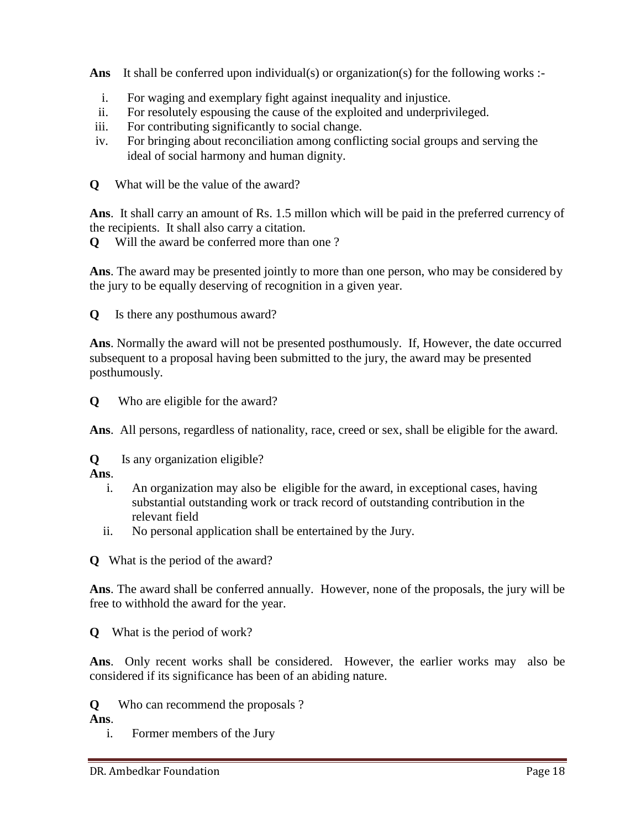Ans It shall be conferred upon individual(s) or organization(s) for the following works :-

- i. For waging and exemplary fight against inequality and injustice.
- ii. For resolutely espousing the cause of the exploited and underprivileged.
- iii. For contributing significantly to social change.
- iv. For bringing about reconciliation among conflicting social groups and serving the ideal of social harmony and human dignity.
- **Q** What will be the value of the award?

**Ans**. It shall carry an amount of Rs. 1.5 millon which will be paid in the preferred currency of the recipients. It shall also carry a citation.

**Q** Will the award be conferred more than one ?

**Ans**. The award may be presented jointly to more than one person, who may be considered by the jury to be equally deserving of recognition in a given year.

**Q** Is there any posthumous award?

**Ans**. Normally the award will not be presented posthumously. If, However, the date occurred subsequent to a proposal having been submitted to the jury, the award may be presented posthumously.

**Q** Who are eligible for the award?

**Ans**. All persons, regardless of nationality, race, creed or sex, shall be eligible for the award.

**Q** Is any organization eligible?

**Ans**.

- i. An organization may also be eligible for the award, in exceptional cases, having substantial outstanding work or track record of outstanding contribution in the relevant field
- ii. No personal application shall be entertained by the Jury.

**Q** What is the period of the award?

**Ans**. The award shall be conferred annually. However, none of the proposals, the jury will be free to withhold the award for the year.

**Q** What is the period of work?

**Ans**. Only recent works shall be considered. However, the earlier works may also be considered if its significance has been of an abiding nature.

**Q** Who can recommend the proposals ?

**Ans**.

i. Former members of the Jury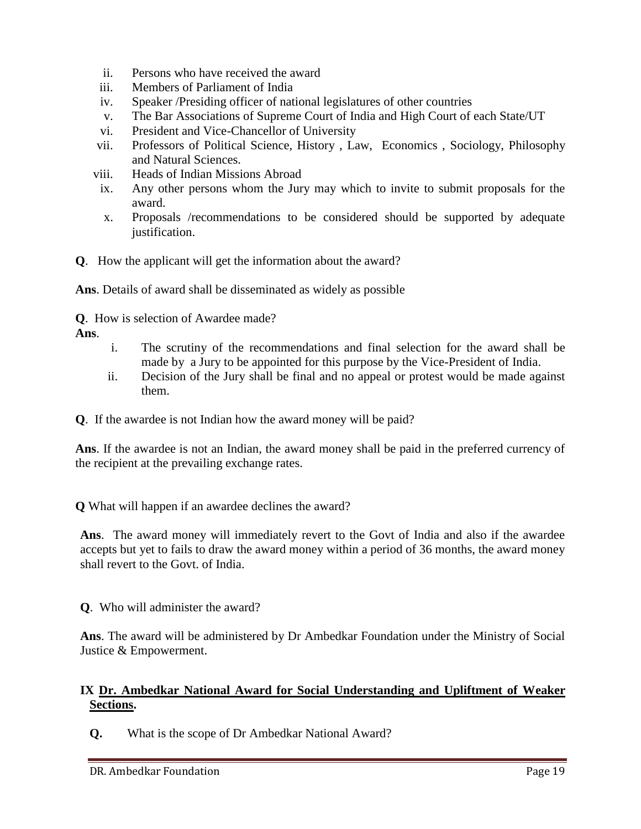- ii. Persons who have received the award
- iii. Members of Parliament of India
- iv. Speaker /Presiding officer of national legislatures of other countries
- v. The Bar Associations of Supreme Court of India and High Court of each State/UT
- vi. President and Vice-Chancellor of University
- vii. Professors of Political Science, History , Law, Economics , Sociology, Philosophy and Natural Sciences.
- viii. Heads of Indian Missions Abroad
- ix. Any other persons whom the Jury may which to invite to submit proposals for the award.
- x. Proposals /recommendations to be considered should be supported by adequate justification.
- **Q**. How the applicant will get the information about the award?

**Ans**. Details of award shall be disseminated as widely as possible

**Q**. How is selection of Awardee made?

**Ans**.

- i. The scrutiny of the recommendations and final selection for the award shall be made by a Jury to be appointed for this purpose by the Vice-President of India.
- ii. Decision of the Jury shall be final and no appeal or protest would be made against them.
- **Q**. If the awardee is not Indian how the award money will be paid?

**Ans**. If the awardee is not an Indian, the award money shall be paid in the preferred currency of the recipient at the prevailing exchange rates.

**Q** What will happen if an awardee declines the award?

**Ans**. The award money will immediately revert to the Govt of India and also if the awardee accepts but yet to fails to draw the award money within a period of 36 months, the award money shall revert to the Govt. of India.

**Q**. Who will administer the award?

**Ans**. The award will be administered by Dr Ambedkar Foundation under the Ministry of Social Justice & Empowerment.

## **IX Dr. Ambedkar National Award for Social Understanding and Upliftment of Weaker Sections.**

**Q.** What is the scope of Dr Ambedkar National Award?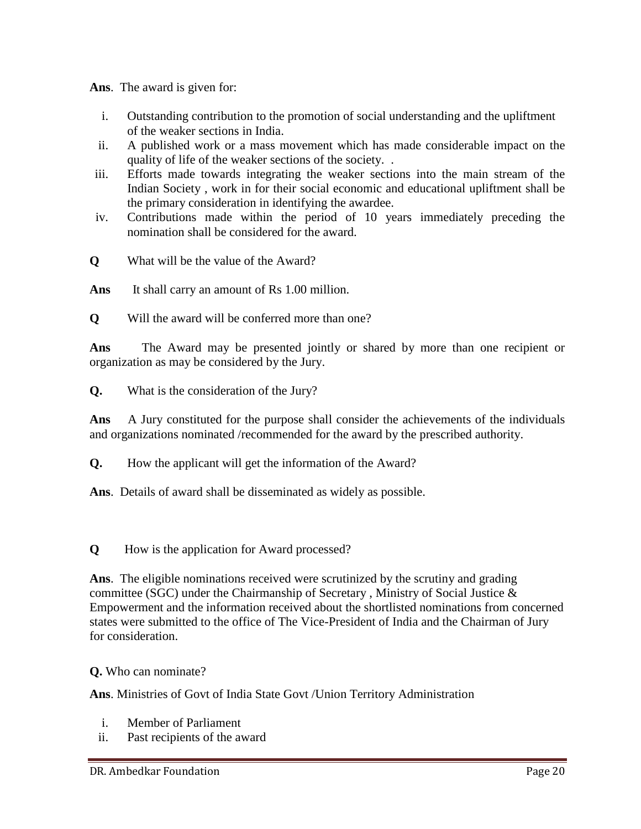**Ans**. The award is given for:

- i. Outstanding contribution to the promotion of social understanding and the upliftment of the weaker sections in India.
- ii. A published work or a mass movement which has made considerable impact on the quality of life of the weaker sections of the society. .
- iii. Efforts made towards integrating the weaker sections into the main stream of the Indian Society , work in for their social economic and educational upliftment shall be the primary consideration in identifying the awardee.
- iv. Contributions made within the period of 10 years immediately preceding the nomination shall be considered for the award.
- **Q** What will be the value of the Award?
- Ans It shall carry an amount of Rs 1.00 million.
- **Q** Will the award will be conferred more than one?

**Ans** The Award may be presented jointly or shared by more than one recipient or organization as may be considered by the Jury.

**Q.** What is the consideration of the Jury?

**Ans** A Jury constituted for the purpose shall consider the achievements of the individuals and organizations nominated /recommended for the award by the prescribed authority.

- **Q.** How the applicant will get the information of the Award?
- **Ans**. Details of award shall be disseminated as widely as possible.

**Q** How is the application for Award processed?

**Ans**. The eligible nominations received were scrutinized by the scrutiny and grading committee (SGC) under the Chairmanship of Secretary , Ministry of Social Justice & Empowerment and the information received about the shortlisted nominations from concerned states were submitted to the office of The Vice-President of India and the Chairman of Jury for consideration.

#### **Q.** Who can nominate?

**Ans**. Ministries of Govt of India State Govt /Union Territory Administration

- i. Member of Parliament
- ii. Past recipients of the award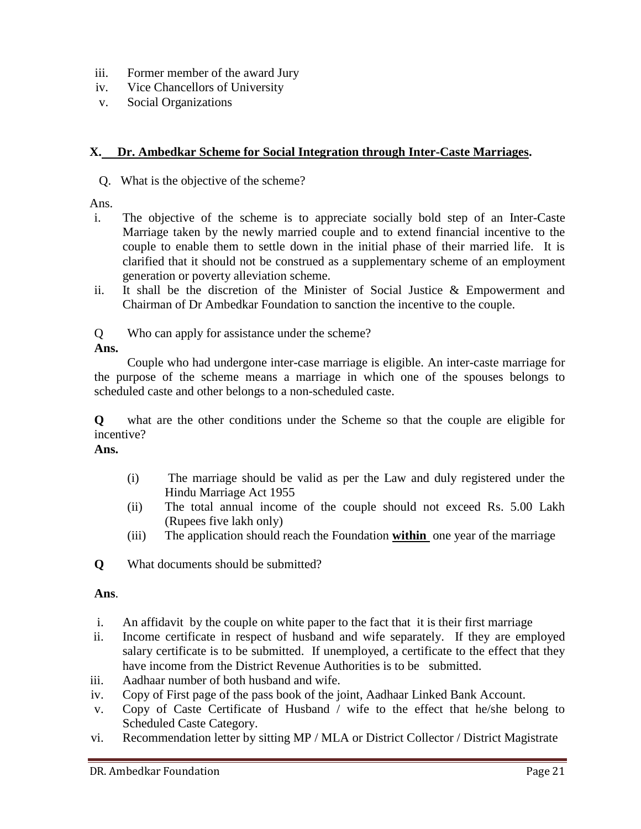- iii. Former member of the award Jury
- iv. Vice Chancellors of University
- v. Social Organizations

#### **X. Dr. Ambedkar Scheme for Social Integration through Inter-Caste Marriages.**

Q. What is the objective of the scheme?

Ans.

- i. The objective of the scheme is to appreciate socially bold step of an Inter-Caste Marriage taken by the newly married couple and to extend financial incentive to the couple to enable them to settle down in the initial phase of their married life. It is clarified that it should not be construed as a supplementary scheme of an employment generation or poverty alleviation scheme.
- ii. It shall be the discretion of the Minister of Social Justice & Empowerment and Chairman of Dr Ambedkar Foundation to sanction the incentive to the couple.
- Q Who can apply for assistance under the scheme?

**Ans.**

Couple who had undergone inter-case marriage is eligible. An inter-caste marriage for the purpose of the scheme means a marriage in which one of the spouses belongs to scheduled caste and other belongs to a non-scheduled caste.

**Q** what are the other conditions under the Scheme so that the couple are eligible for incentive?

**Ans.**

- (i) The marriage should be valid as per the Law and duly registered under the Hindu Marriage Act 1955
- (ii) The total annual income of the couple should not exceed Rs. 5.00 Lakh (Rupees five lakh only)
- (iii) The application should reach the Foundation **within** one year of the marriage

**Q** What documents should be submitted?

## **Ans**.

- i. An affidavit by the couple on white paper to the fact that it is their first marriage
- ii. Income certificate in respect of husband and wife separately. If they are employed salary certificate is to be submitted. If unemployed, a certificate to the effect that they have income from the District Revenue Authorities is to be submitted.
- iii. Aadhaar number of both husband and wife.
- iv. Copy of First page of the pass book of the joint, Aadhaar Linked Bank Account.
- v. Copy of Caste Certificate of Husband / wife to the effect that he/she belong to Scheduled Caste Category.
- vi. Recommendation letter by sitting MP / MLA or District Collector / District Magistrate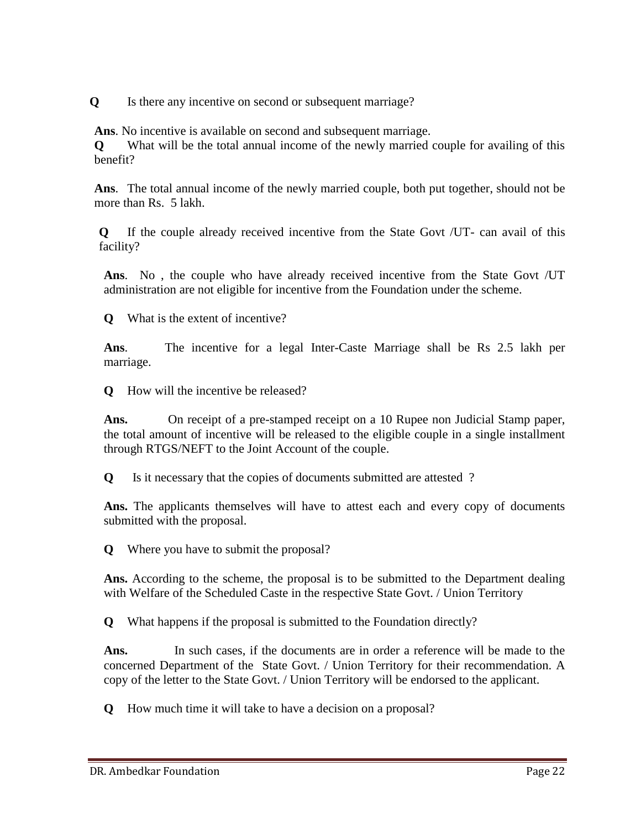**Q** Is there any incentive on second or subsequent marriage?

**Ans**. No incentive is available on second and subsequent marriage.

**Q** What will be the total annual income of the newly married couple for availing of this benefit?

**Ans**. The total annual income of the newly married couple, both put together, should not be more than Rs. 5 lakh.

**Q** If the couple already received incentive from the State Govt /UT- can avail of this facility?

**Ans**. No , the couple who have already received incentive from the State Govt /UT administration are not eligible for incentive from the Foundation under the scheme.

**Q** What is the extent of incentive?

**Ans**. The incentive for a legal Inter-Caste Marriage shall be Rs 2.5 lakh per marriage.

**Q** How will the incentive be released?

**Ans.** On receipt of a pre-stamped receipt on a 10 Rupee non Judicial Stamp paper, the total amount of incentive will be released to the eligible couple in a single installment through RTGS/NEFT to the Joint Account of the couple.

**Q** Is it necessary that the copies of documents submitted are attested ?

**Ans.** The applicants themselves will have to attest each and every copy of documents submitted with the proposal.

**Q** Where you have to submit the proposal?

**Ans.** According to the scheme, the proposal is to be submitted to the Department dealing with Welfare of the Scheduled Caste in the respective State Govt. / Union Territory

**Q** What happens if the proposal is submitted to the Foundation directly?

Ans. In such cases, if the documents are in order a reference will be made to the concerned Department of the State Govt. / Union Territory for their recommendation. A copy of the letter to the State Govt. / Union Territory will be endorsed to the applicant.

**Q** How much time it will take to have a decision on a proposal?